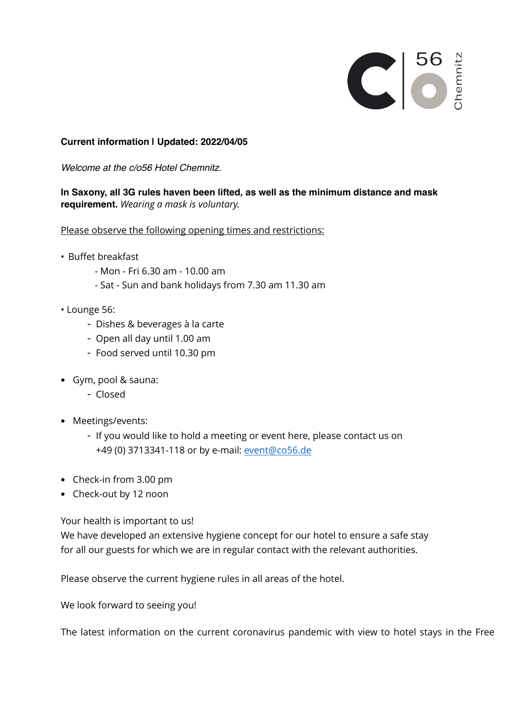

## **Current information | Updated: 2022/04/05**

*Welcome at the c/o56 Hotel Chemnitz.*

## **In Saxony, all 3G rules haven been lifted, as well as the minimum distance and mask requirement.** *Wearing a mask is voluntary.*

Please observe the following opening times and restrictions:

- Buffet breakfast
	- Mon Fri 6.30 am 10.00 am
	- Sat Sun and bank holidays from 7.30 am 11.30 am
- Lounge 56:
	- Dishes & beverages à la carte
	- Open all day until 1.00 am
	- Food served until 10.30 pm
- Gym, pool & sauna:
	- Closed
- Meetings/events:
	- If you would like to hold a meeting or event here, please contact us on +49 (0) 3713341-118 or by e-mail[: event@co56.de](mailto:event@co56.de)
- Check-in from 3.00 pm
- Check-out by 12 noon

Your health is important to us!

We have developed an extensive hygiene concept for our hotel to ensure a safe stay for all our guests for which we are in regular contact with the relevant authorities.

Please observe the current hygiene rules in all areas of the hotel.

We look forward to seeing you!

The latest information on the current coronavirus pandemic with view to hotel stays in the Free